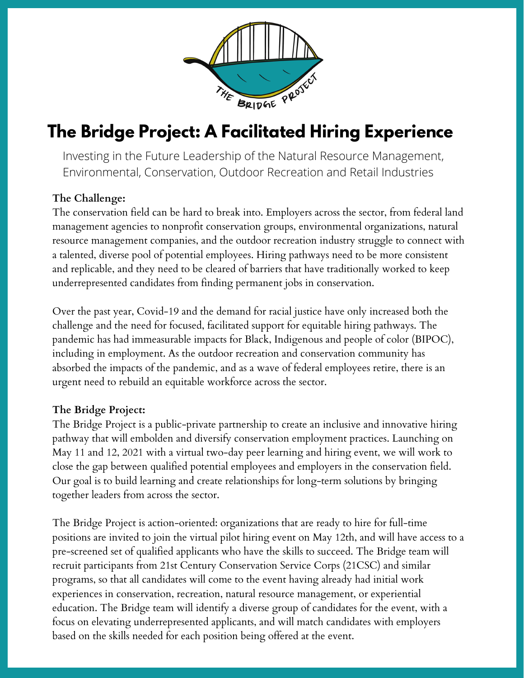

## **The Bridge Project: A Facilitated Hiring Experience**

Investing in the Future Leadership of the Natural Resource Management, Environmental, Conservation, Outdoor Recreation and Retail Industries

### **The Challenge:**

The conservation field can be hard to break into. Employers across the sector, from federal land management agencies to nonprofit conservation groups, environmental organizations, natural resource management companies, and the outdoor recreation industry struggle to connect with a talented, diverse pool of potential employees. Hiring pathways need to be more consistent and replicable, and they need to be cleared of barriers that have traditionally worked to keep underrepresented candidates from finding permanent jobs in conservation.

Over the past year, Covid-19 and the demand for racial justice have only increased both the challenge and the need for focused, facilitated support for equitable hiring pathways. The pandemic has had immeasurable impacts for Black, Indigenous and people of color (BIPOC), including in employment. As the outdoor recreation and conservation community has absorbed the impacts of the pandemic, and as a wave of federal employees retire, there is an urgent need to rebuild an equitable workforce across the sector.

#### **The Bridge Project:**

The Bridge Project is a public-private partnership to create an inclusive and innovative hiring pathway that will embolden and diversify conservation employment practices. Launching on May 11 and 12, 2021 with a virtual two-day peer learning and hiring event, we will work to close the gap between qualified potential employees and employers in the conservation field. Our goal is to build learning and create relationships for long-term solutions by bringing together leaders from across the sector.

The Bridge Project is action-oriented: organizations that are ready to hire for full-time positions are invited to join the virtual pilot hiring event on May 12th, and will have access to a pre-screened set of qualified applicants who have the skills to succeed. The Bridge team will recruit participants from 21st Century Conservation Service Corps (21CSC) and similar programs, so that all candidates will come to the event having already had initial work experiences in conservation, recreation, natural resource management, or experiential education. The Bridge team will identify a diverse group of candidates for the event, with a focus on elevating underrepresented applicants, and will match candidates with employers based on the skills needed for each position being offered at the event.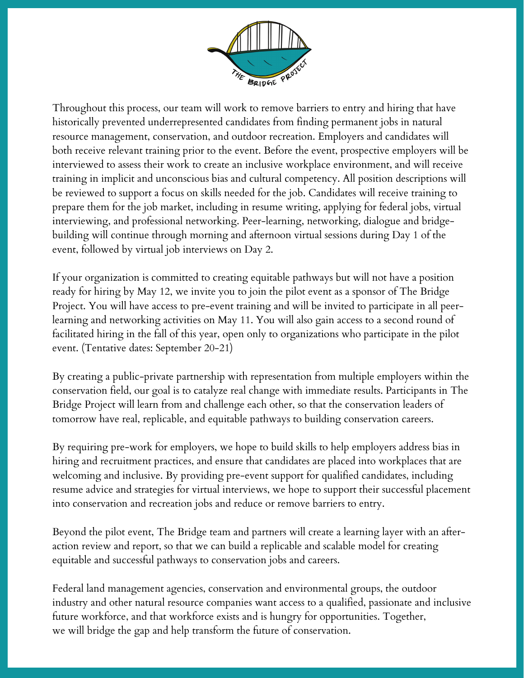

Throughout this process, our team will work to remove barriers to entry and hiring that have historically prevented underrepresented candidates from finding permanent jobs in natural resource management, conservation, and outdoor recreation. Employers and candidates will both receive relevant training prior to the event. Before the event, prospective employers will be interviewed to assess their work to create an inclusive workplace environment, and will receive training in implicit and unconscious bias and cultural competency. All position descriptions will be reviewed to support a focus on skills needed for the job. Candidates will receive training to prepare them for the job market, including in resume writing, applying for federal jobs, virtual interviewing, and professional networking. Peer-learning, networking, dialogue and bridgebuilding will continue through morning and afternoon virtual sessions during Day 1 of the event, followed by virtual job interviews on Day 2.

If your organization is committed to creating equitable pathways but will not have a position ready for hiring by May 12, we invite you to join the pilot event as a sponsor of The Bridge Project. You will have access to pre-event training and will be invited to participate in all peerlearning and networking activities on May 11. You will also gain access to a second round of facilitated hiring in the fall of this year, open only to organizations who participate in the pilot event. (Tentative dates: September 20-21)

By creating a public-private partnership with representation from multiple employers within the conservation field, our goal is to catalyze real change with immediate results. Participants in The Bridge Project will learn from and challenge each other, so that the conservation leaders of tomorrow have real, replicable, and equitable pathways to building conservation careers.

By requiring pre-work for employers, we hope to build skills to help employers address bias in hiring and recruitment practices, and ensure that candidates are placed into workplaces that are welcoming and inclusive. By providing pre-event support for qualified candidates, including resume advice and strategies for virtual interviews, we hope to support their successful placement into conservation and recreation jobs and reduce or remove barriers to entry.

Beyond the pilot event, The Bridge team and partners will create a learning layer with an afteraction review and report, so that we can build a replicable and scalable model for creating equitable and successful pathways to conservation jobs and careers.

Federal land management agencies, conservation and environmental groups, the outdoor industry and other natural resource companies want access to a qualified, passionate and inclusive future workforce, and that workforce exists and is hungry for opportunities. Together, we will bridge the gap and help transform the future of conservation.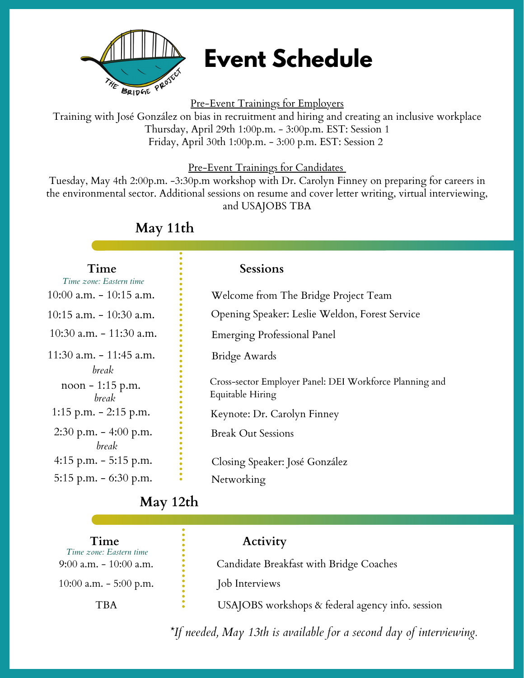

# **Event Schedule**

Pre-Event Trainings for Employers

Training with José González on bias in recruitment and hiring and creating an inclusive workplace Thursday, April 29th 1:00p.m. - 3:00p.m. EST: Session 1 Friday, April 30th 1:00p.m. - 3:00 p.m. EST: Session 2

#### Pre-Event Trainings for Candidates

Tuesday, May 4th 2:00p.m. -3:30p.m workshop with Dr. Carolyn Finney on preparing for careers in the environmental sector. Additional sessions on resume and cover letter writing, virtual interviewing, and USAJOBS TBA

### **May 11th**

#### **Time Sessions** Welcome from The Bridge Project Team Opening Speaker: Leslie Weldon, Forest Service Emerging Professional Panel Cross-sector Employer Panel: DEI Workforce Planning and Equitable Hiring Keynote: Dr. Carolyn Finney Break Out Sessions Closing Speaker: José González Networking  $10:00$  a.m.  $-10:15$  a.m. 10:15 a.m. - 10:30 a.m. 10:30 a.m. - 11:30 a.m. noon - 1:15 p.m. 1:15 p.m. - 2:15 p.m. 2:30 p.m. - 4:00 p.m. 4:15 p.m. - 5:15 p.m. 5:15 p.m. - 6:30 p.m. *Time zone: Eastern time* 11:30 a.m. - 11:45 a.m. *break break break* Bridge Awards

### **May 12th**

| Time<br>Time zone: Eastern time<br>$9:00$ a.m. $-10:00$ a.m. | Activity<br>Candidate Breakfast with Bridge Coaches |
|--------------------------------------------------------------|-----------------------------------------------------|
| 10:00 a.m. $-$ 5:00 p.m.                                     | Job Interviews                                      |
| TBA                                                          | USAJOBS workshops & federal agency info. session    |

*\*If needed, May 13th is available for a second day of interviewing.*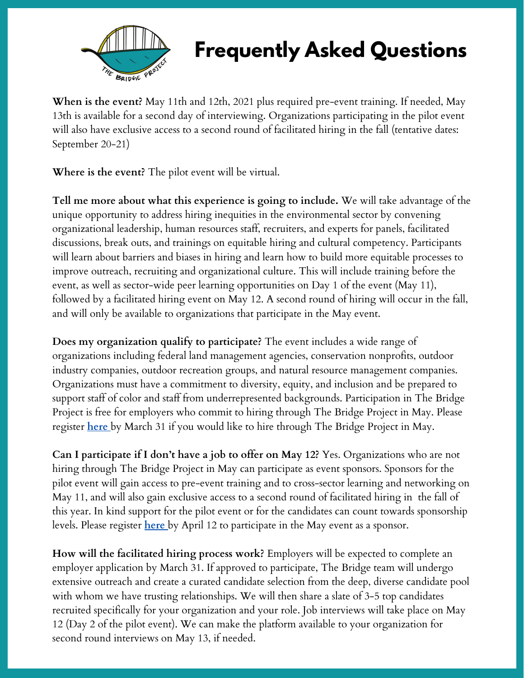

# **Frequently Asked Questions**

**When is the event?** May 11th and 12th, 2021 plus required pre-event training. If needed, May 13th is available for a second day of interviewing. Organizations participating in the pilot event will also have exclusive access to a second round of facilitated hiring in the fall (tentative dates: September 20-21)

**Where is the event?** The pilot event will be virtual.

**Tell me more about what this experience is going to include.** We will take advantage of the unique opportunity to address hiring inequities in the environmental sector by convening organizational leadership, human resources staff, recruiters, and experts for panels, facilitated discussions, break outs, and trainings on equitable hiring and cultural competency. Participants will learn about barriers and biases in hiring and learn how to build more equitable processes to improve outreach, recruiting and organizational culture. This will include training before the event, as well as sector-wide peer learning opportunities on Day 1 of the event (May 11), followed by a facilitated hiring event on May 12. A second round of hiring will occur in the fall, and will only be available to organizations that participate in the May event.

**Does my organization qualify to participate?** The event includes a wide range of organizations including federal land management agencies, conservation nonprofits, outdoor industry companies, outdoor recreation groups, and natural resource management companies. Organizations must have a commitment to diversity, equity, and inclusion and be prepared to support staff of color and staff from underrepresented backgrounds. Participation in The Bridge Project is free for employers who commit to hiring through The Bridge Project in May. Please register **[here](https://forms.office.com/Pages/ResponsePage.aspx?id=oj_598VcJEKRtZ7Oacn_RKSpumjjsj5Ns0wcCP6zxf9UQVpIV1dTRzRSOEs2N0NPNTFWSENHWFdXVy4u)** by March 31 if you would like to hire through The Bridge Project in May.

**Can I participate if I don't have a job to offer on May 12?** Yes. Organizations who are not hiring through The Bridge Project in May can participate as event sponsors. Sponsors for the pilot event will gain access to pre-event training and to cross-sector learning and networking on May 11, and will also gain exclusive access to a second round of facilitated hiring in the fall of this year. In kind support for the pilot event or for the candidates can count towards sponsorship levels. Please register **[here](https://forms.office.com/Pages/ResponsePage.aspx?id=oj_598VcJEKRtZ7Oacn_RKSpumjjsj5Ns0wcCP6zxf9UQVpIV1dTRzRSOEs2N0NPNTFWSENHWFdXVy4u)** by April 12 to participate in the May event as a sponsor.

**How will the facilitated hiring process work?** Employers will be expected to complete an employer application by March 31. If approved to participate, The Bridge team will undergo extensive outreach and create a curated candidate selection from the deep, diverse candidate pool with whom we have trusting relationships. We will then share a slate of 3-5 top candidates recruited specifically for your organization and your role. Job interviews will take place on May 12 (Day 2 of the pilot event). We can make the platform available to your organization for second round interviews on May 13, if needed.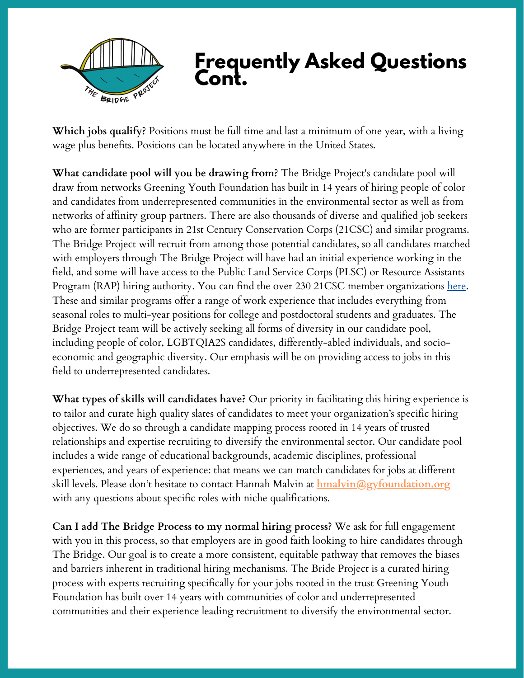

## **Frequently Asked Questions Cont.**

**Which jobs qualify?** Positions must be full time and last a minimum of one year, with a living wage plus benefits. Positions can be located anywhere in the United States.

**What candidate pool will you be drawing from?** The Bridge Project's candidate pool will draw from networks Greening Youth Foundation has built in 14 years of hiring people of color and candidates from underrepresented communities in the environmental sector as well as from networks of affinity group partners. There are also thousands of diverse and qualified job seekers who are former participants in 21st Century Conservation Corps (21CSC) and similar programs. The Bridge Project will recruit from among those potential candidates, so all candidates matched with employers through The Bridge Project will have had an initial experience working in the field, and some will have access to the Public Land Service Corps (PLSC) or Resource Assistants Program (RAP) hiring authority. You can find the over 230 21CSC member organizations [here.](http://21csc.org/list-of-21csc-programs) These and similar programs offer a range of work experience that includes everything from seasonal roles to multi-year positions for college and postdoctoral students and graduates. The Bridge Project team will be actively seeking all forms of diversity in our candidate pool, including people of color, LGBTQIA2S candidates, differently-abled individuals, and socioeconomic and geographic diversity. Our emphasis will be on providing access to jobs in this field to underrepresented candidates.

**What types of skills will candidates have?** Our priority in facilitating this hiring experience is to tailor and curate high quality slates of candidates to meet your organization's specific hiring objectives. We do so through a candidate mapping process rooted in 14 years of trusted relationships and expertise recruiting to diversify the environmental sector. Our candidate pool includes a wide range of educational backgrounds, academic disciplines, professional experiences, and years of experience: that means we can match candidates for jobs at different skill levels. Please don't hesitate to contact Hannah Malvin at **hmalvin@gyfoundation.org** with any questions about specific roles with niche qualifications.

**Can I add The Bridge Process to my normal hiring process?** We ask for full engagement with you in this process, so that employers are in good faith looking to hire candidates through The Bridge. Our goal is to create a more consistent, equitable pathway that removes the biases and barriers inherent in traditional hiring mechanisms. The Bride Project is a curated hiring process with experts recruiting specifically for your jobs rooted in the trust Greening Youth Foundation has built over 14 years with communities of color and underrepresented communities and their experience leading recruitment to diversify the environmental sector.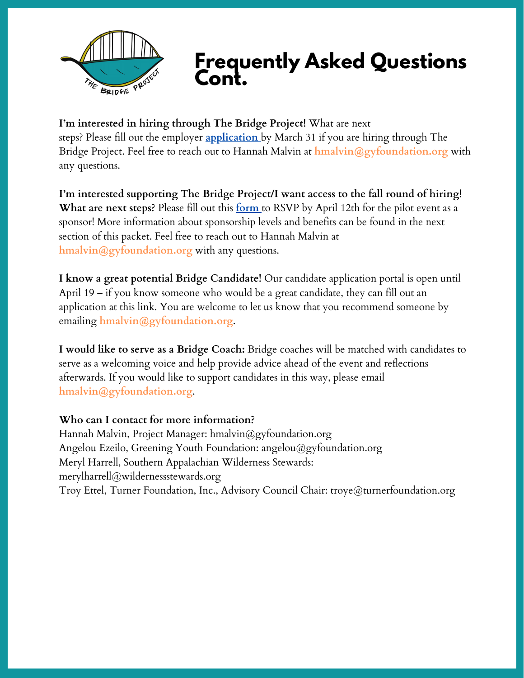

## **Frequently Asked Questions Cont.**

**I'm interested in hiring through The Bridge Project!** What are next steps? Please fill out the employer **[application](https://forms.office.com/Pages/ResponsePage.aspx?id=oj_598VcJEKRtZ7Oacn_RKSpumjjsj5Ns0wcCP6zxf9UQVpIV1dTRzRSOEs2N0NPNTFWSENHWFdXVy4u)** by March 31 if you are hiring through The Bridge Project. Feel free to reach out to Hannah Malvin at **hmalvin@gyfoundation.org** with any questions.

**I'm interested supporting The Bridge Project/I want access to the fall round of hiring! What are next steps?** Please fill out this **[form](https://forms.office.com/Pages/ResponsePage.aspx?id=oj_598VcJEKRtZ7Oacn_RKSpumjjsj5Ns0wcCP6zxf9UQVpIV1dTRzRSOEs2N0NPNTFWSENHWFdXVy4u)** to RSVP by April 12th for the pilot event as a sponsor! More information about sponsorship levels and benefits can be found in the next section of this packet. Feel free to reach out to Hannah Malvin at **hmalvin@gyfoundation.org** with any questions.

**I know a great potential Bridge Candidate!** Our candidate application portal is open until April 19 – if you know someone who would be a great candidate, they can fill out an application at this [link.](https://www2.jobdiva.com/candidates/myjobs/openjob_outside.jsp?a=ldjdnwzhb3gn6r5aaohezef1uz2q470438g5bn2i6dtfsrgcmasd093311hdu2jl&from=COMP&id=14615557&SearchString=&StatesString=&jobseq=0&rowsperpage=30&divisions=&divisions2=) You are welcome to let us know that you recommend someone by emailing **[hmalvin@gyfoundation.org](mailto:hmalvin@gyfoundation.org)**.

**I would like to serve as a Bridge Coach:** Bridge coaches will be matched with candidates to serve as a welcoming voice and help provide advice ahead of the event and reflections afterwards. If you would like to support candidates in this way, please email **[hmalvin@gyfoundation.org](mailto:hmalvin@gyfoundation.org)**.

#### **Who can I contact for more information?**

Hannah Malvin, Project Manager: hmalvin@gyfoundation.org Angelou Ezeilo, Greening Youth Foundation: angelou@gyfoundation.org Meryl Harrell, Southern Appalachian Wilderness Stewards: merylharrell@wildernessstewards.org Troy Ettel, Turner Foundation, Inc., Advisory Council Chair: troye@turnerfoundation.org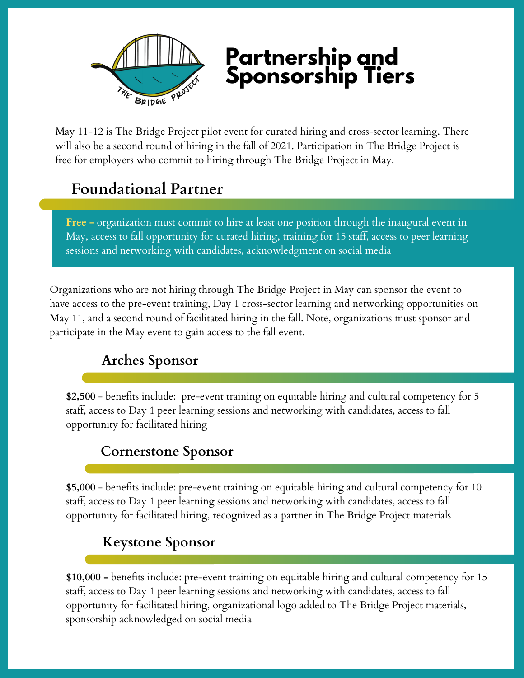

# **Partnership and Sponsorship Tiers**

May 11-12 is The Bridge Project pilot event for curated hiring and cross-sector learning. There will also be a second round of hiring in the fall of 2021. Participation in The Bridge Project is free for employers who commit to hiring through The Bridge Project in May.

## **Foundational Partner**

**Free -** organization must commit to hire at least one position through the inaugural event in May, access to fall opportunity for curated hiring, training for 15 staff, access to peer learning sessions and networking with candidates, acknowledgment on social media

Organizations who are not hiring through The Bridge Project in May can sponsor the event to have access to the pre-event training, Day 1 cross-sector learning and networking opportunities on May 11, and a second round of facilitated hiring in the fall. Note, organizations must sponsor and participate in the May event to gain access to the fall event.

## **Arches Sponsor**

**\$2,500** - benefits include: pre-event training on equitable hiring and cultural competency for 5 staff, access to Day 1 peer learning sessions and networking with candidates, access to fall opportunity for facilitated hiring

### **Cornerstone Sponsor**

**\$5,000** - benefits include: pre-event training on equitable hiring and cultural competency for 10 staff, access to Day 1 peer learning sessions and networking with candidates, access to fall opportunity for facilitated hiring, recognized as a partner in The Bridge Project materials

### **Keystone Sponsor**

**\$10,000 -** benefits include: pre-event training on equitable hiring and cultural competency for 15 staff, access to Day 1 peer learning sessions and networking with candidates, access to fall opportunity for facilitated hiring, organizational logo added to The Bridge Project materials, sponsorship acknowledged on social media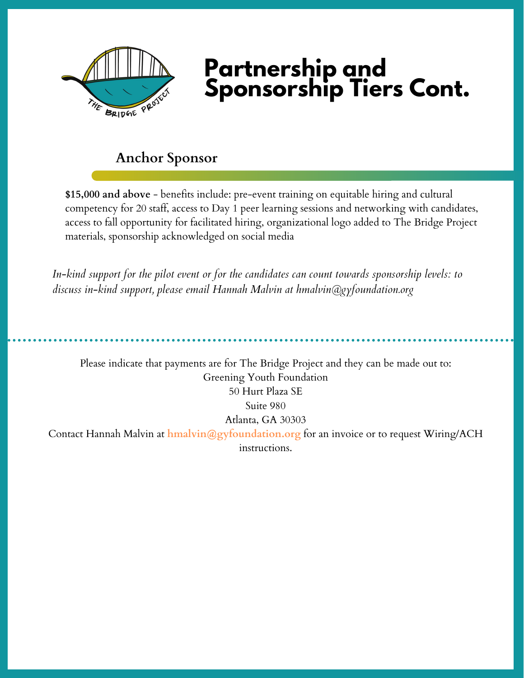

# **Partnership and Sponsorship Tiers Cont.**

### **Anchor Sponsor**

**\$15,000 and above** - benefits include: pre-event training on equitable hiring and cultural competency for 20 staff, access to Day 1 peer learning sessions and networking with candidates, access to fall opportunity for facilitated hiring, organizational logo added to The Bridge Project materials, sponsorship acknowledged on social media

*In-kind support for the pilot event or for the candidates can count towards sponsorship levels: to discuss in-kind support, please email Hannah Malvin at hmalvin@gyfoundation.org*

Please indicate that payments are for The Bridge Project and they can be made out to: Greening Youth Foundation 50 Hurt Plaza SE Suite 980 Atlanta, GA 30303 Contact Hannah Malvin at **hmalvin@gyfoundation.org** for an invoice or to request Wiring/ACH instructions.